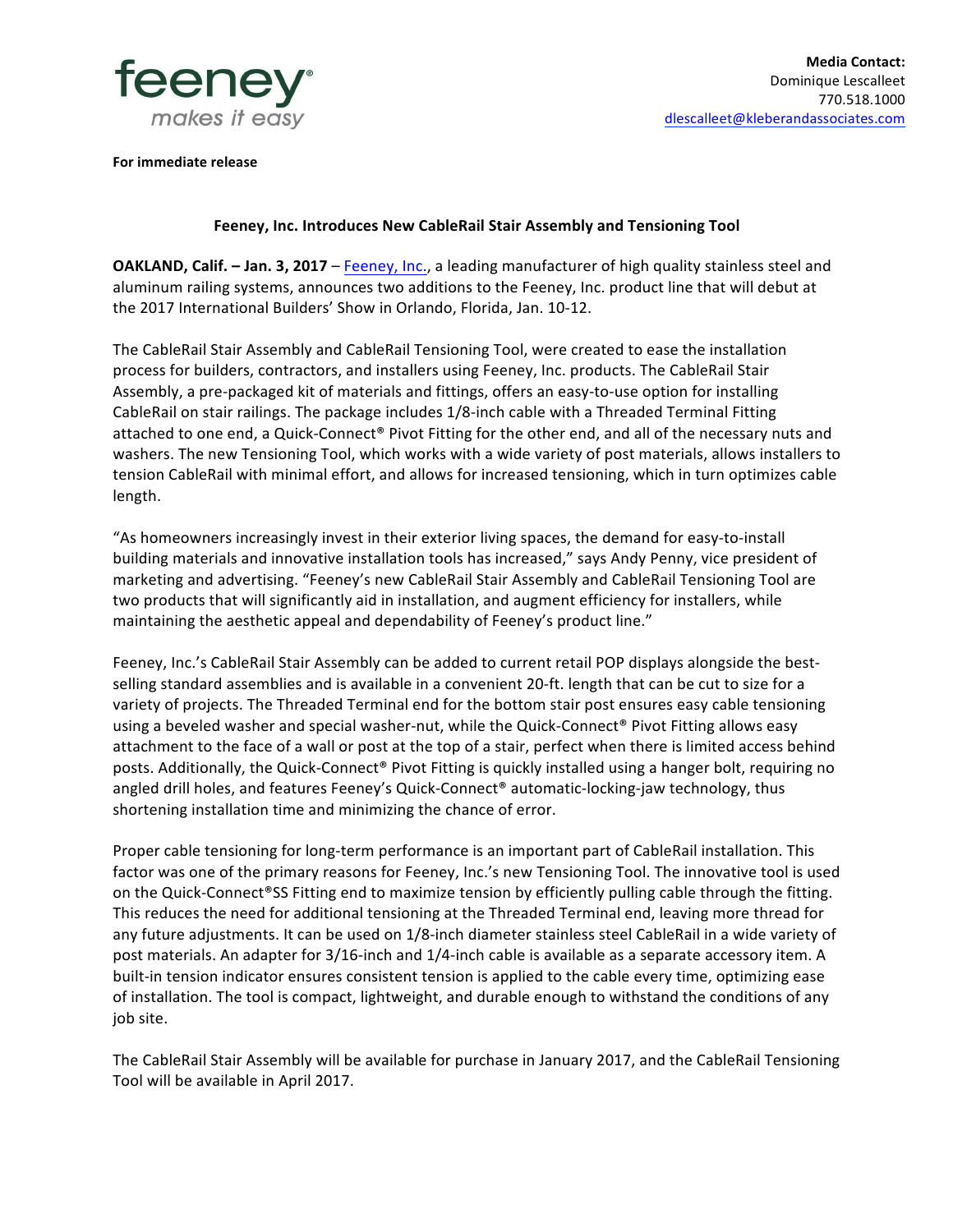

**For immediate release** 

## **Feeney, Inc. Introduces New CableRail Stair Assembly and Tensioning Tool**

**OAKLAND, Calif.** – Jan. 3, 2017 – Feeney, Inc., a leading manufacturer of high quality stainless steel and aluminum railing systems, announces two additions to the Feeney, Inc. product line that will debut at the 2017 International Builders' Show in Orlando, Florida, Jan. 10-12.

The CableRail Stair Assembly and CableRail Tensioning Tool, were created to ease the installation process for builders, contractors, and installers using Feeney, Inc. products. The CableRail Stair Assembly, a pre-packaged kit of materials and fittings, offers an easy-to-use option for installing CableRail on stair railings. The package includes 1/8-inch cable with a Threaded Terminal Fitting attached to one end, a Quick-Connect® Pivot Fitting for the other end, and all of the necessary nuts and washers. The new Tensioning Tool, which works with a wide variety of post materials, allows installers to tension CableRail with minimal effort, and allows for increased tensioning, which in turn optimizes cable length.

"As homeowners increasingly invest in their exterior living spaces, the demand for easy-to-install building materials and innovative installation tools has increased," says Andy Penny, vice president of marketing and advertising. "Feeney's new CableRail Stair Assembly and CableRail Tensioning Tool are two products that will significantly aid in installation, and augment efficiency for installers, while maintaining the aesthetic appeal and dependability of Feeney's product line."

Feeney, Inc.'s CableRail Stair Assembly can be added to current retail POP displays alongside the bestselling standard assemblies and is available in a convenient 20-ft. length that can be cut to size for a variety of projects. The Threaded Terminal end for the bottom stair post ensures easy cable tensioning using a beveled washer and special washer-nut, while the Quick-Connect® Pivot Fitting allows easy attachment to the face of a wall or post at the top of a stair, perfect when there is limited access behind posts. Additionally, the Quick-Connect® Pivot Fitting is quickly installed using a hanger bolt, requiring no angled drill holes, and features Feeney's Quick-Connect® automatic-locking-jaw technology, thus shortening installation time and minimizing the chance of error.

Proper cable tensioning for long-term performance is an important part of CableRail installation. This factor was one of the primary reasons for Feeney, Inc.'s new Tensioning Tool. The innovative tool is used on the Quick-Connect®SS Fitting end to maximize tension by efficiently pulling cable through the fitting. This reduces the need for additional tensioning at the Threaded Terminal end, leaving more thread for any future adjustments. It can be used on 1/8-inch diameter stainless steel CableRail in a wide variety of post materials. An adapter for 3/16-inch and 1/4-inch cable is available as a separate accessory item. A built-in tension indicator ensures consistent tension is applied to the cable every time, optimizing ease of installation. The tool is compact, lightweight, and durable enough to withstand the conditions of any job site.

The CableRail Stair Assembly will be available for purchase in January 2017, and the CableRail Tensioning Tool will be available in April 2017.